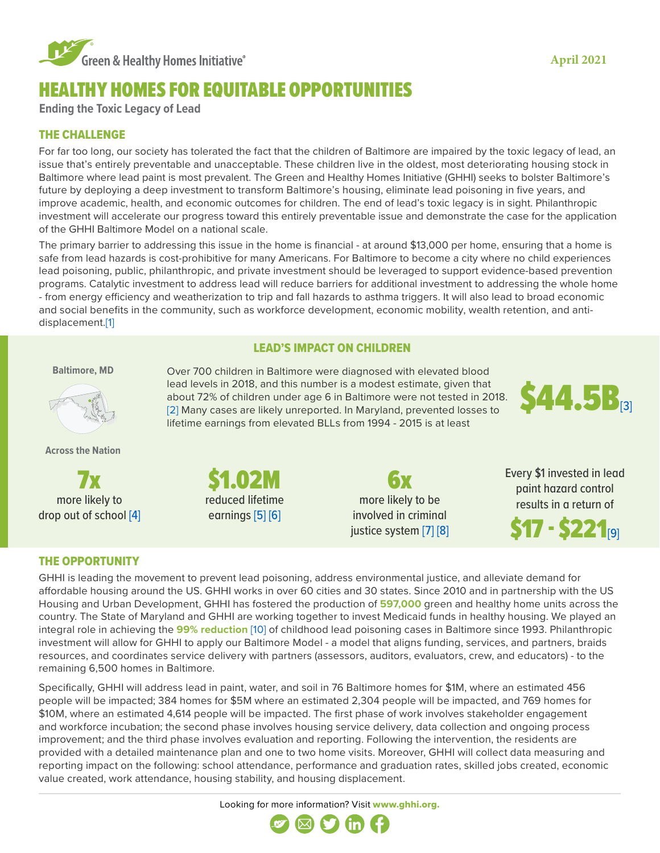

# HEALTHY HOMES FOR EQUITABLE OPPORTUNITIES

\$1.02M reduced lifetime earnings [\[5\]](https://www.ncbi.nlm.nih.gov/pmc/articles/PMC2717145/) [\[6\]](https://ehp.niehs.nih.gov/doi/abs/10.1289/ehp.02110563)

**Ending the Toxic Legacy of Lead**

# THE CHALLENGE

For far too long, our society has tolerated the fact that the children of Baltimore are impaired by the toxic legacy of lead, an issue that's entirely preventable and unacceptable. These children live in the oldest, most deteriorating housing stock in Baltimore where lead paint is most prevalent. The Green and Healthy Homes Initiative (GHHI) seeks to bolster Baltimore's future by deploying a deep investment to transform Baltimore's housing, eliminate lead poisoning in five years, and improve academic, health, and economic outcomes for children. The end of lead's toxic legacy is in sight. Philanthropic investment will accelerate our progress toward this entirely preventable issue and demonstrate the case for the application of the GHHI Baltimore Model on a national scale.

The primary barrier to addressing this issue in the home is financial - at around \$13,000 per home, ensuring that a home is safe from lead hazards is cost-prohibitive for many Americans. For Baltimore to become a city where no child experiences lead poisoning, public, philanthropic, and private investment should be leveraged to support evidence-based prevention programs. Catalytic investment to address lead will reduce barriers for additional investment to addressing the whole home - from energy efficiency and weatherization to trip and fall hazards to asthma triggers. It will also lead to broad economic and social benefits in the community, such as workforce development, economic mobility, wealth retention, and antidisplacement.[\[1\]](https://www.pewtrusts.org/~/media/assets/2017/08/hip_childhood_lead_poisoning_report.pdf)

## LEAD'S IMPACT ON CHILDREN

**Baltimore, MD**



**Across the Nation**

7x more likely to drop out of school [\[4\]](https://books.google.com/books?id=Jln-r0yHypIC&pg=PA142&lpg=PA142&dq=The+Cost+of+Being+Poor:+Poverty,+Lead+Poisoning,+and+Policy+Implementation&source=bl&ots=pHYrPiaG2X&sig=ACfU3U30BH9tLrE8iLngQOzugc5mVSz-_w&hl=en&sa=X&ved=2ahUKEwiduev87bXnAhXlhXIEHbMRAEEQ6AEwEXoECBQQAQ#v=onepage&q=The%20Cost%20of%20Being%20Poor%3A%20Poverty%2C%20Lead%20Poisoning%2C%20and%20Policy%20Implementation&f=false)

Over 700 children in Baltimore were diagnosed with elevated blood lead levels in 2018, and this number is a modest estimate, given that about 72% of children under age 6 in Baltimore were not tested in 2018. [\[2\]](https://mde.maryland.gov/programs/LAND/Documents/LeadReports/LeadReportsAnnualChildhoodLeadRegistry/LeadReportCLR2018.pdf) Many cases are likely unreported. In Maryland, prevented losses to lifetime earnings from elevated BLLs from 1994 - 2015 is at least



**6x** more likely to be involved in criminal justice system [\[7\]](https://www.sciencedirect.com/science/article/pii/S0160412012000566) [\[8\]](https://www.ncbi.nlm.nih.gov/pubmed/8569015) Every \$1 invested in lead paint hazard control results in a return of

 ${\bf S17}$  -  ${\bf S221}$ rg1

## THE OPPORTUNITY

GHHI is leading the movement to prevent lead poisoning, address environmental justice, and alleviate demand for affordable housing around the US. GHHI works in over 60 cities and 30 states. Since 2010 and in partnership with the US Housing and Urban Development, GHHI has fostered the production of **597,000** green and healthy home units across the country. The State of Maryland and GHHI are working together to invest Medicaid funds in healthy housing. We played an integral role in achieving the **99% reduction** [\[10\]](https://news.maryland.gov/mde/2013/09/25/lead-poisoning-cases-drop-many-cases-linked-to-properties-not-previously-covered-by-maryland-law/) of childhood lead poisoning cases in Baltimore since 1993. Philanthropic investment will allow for GHHI to apply our Baltimore Model - a model that aligns funding, services, and partners, braids resources, and coordinates service delivery with partners (assessors, auditors, evaluators, crew, and educators) - to the remaining 6,500 homes in Baltimore.

Specifically, GHHI will address lead in paint, water, and soil in 76 Baltimore homes for \$1M, where an estimated 456 people will be impacted; 384 homes for \$5M where an estimated 2,304 people will be impacted, and 769 homes for \$10M, where an estimated 4,614 people will be impacted. The first phase of work involves stakeholder engagement and workforce incubation; the second phase involves housing service delivery, data collection and ongoing process improvement; and the third phase involves evaluation and reporting. Following the intervention, the residents are provided with a detailed maintenance plan and one to two home visits. Moreover, GHHI will collect data measuring and reporting impact on the following: school attendance, performance and graduation rates, skilled jobs created, economic value created, work attendance, housing stability, and housing displacement.

Looking for more information? Visit [www.ghhi.org.](http://www.ghhi.org)